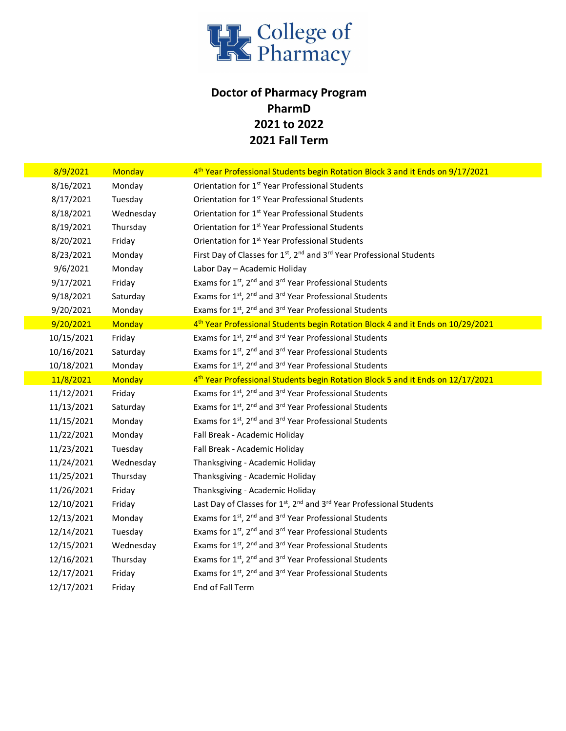

## Doctor of Pharmacy Program PharmD 2021 to 2022 2021 Fall Term

| 8/9/2021   | Monday        | 4 <sup>th</sup> Year Professional Students begin Rotation Block 3 and it Ends on 9/17/2021   |
|------------|---------------|----------------------------------------------------------------------------------------------|
| 8/16/2021  | Monday        | Orientation for 1 <sup>st</sup> Year Professional Students                                   |
| 8/17/2021  | Tuesday       | Orientation for 1 <sup>st</sup> Year Professional Students                                   |
| 8/18/2021  | Wednesday     | Orientation for 1 <sup>st</sup> Year Professional Students                                   |
| 8/19/2021  | Thursday      | Orientation for 1 <sup>st</sup> Year Professional Students                                   |
| 8/20/2021  | Friday        | Orientation for 1 <sup>st</sup> Year Professional Students                                   |
| 8/23/2021  | Monday        | First Day of Classes for 1st, 2 <sup>nd</sup> and 3 <sup>rd</sup> Year Professional Students |
| 9/6/2021   | Monday        | Labor Day - Academic Holiday                                                                 |
| 9/17/2021  | Friday        | Exams for 1st, 2 <sup>nd</sup> and 3 <sup>rd</sup> Year Professional Students                |
| 9/18/2021  | Saturday      | Exams for 1st, 2nd and 3rd Year Professional Students                                        |
| 9/20/2021  | Monday        | Exams for 1st, 2nd and 3rd Year Professional Students                                        |
| 9/20/2021  | <b>Monday</b> | 4th Year Professional Students begin Rotation Block 4 and it Ends on 10/29/2021              |
| 10/15/2021 | Friday        | Exams for 1 <sup>st</sup> , 2 <sup>nd</sup> and 3 <sup>rd</sup> Year Professional Students   |
| 10/16/2021 | Saturday      | Exams for 1st, 2 <sup>nd</sup> and 3 <sup>rd</sup> Year Professional Students                |
| 10/18/2021 | Monday        | Exams for 1st, 2nd and 3rd Year Professional Students                                        |
| 11/8/2021  | <b>Monday</b> | 4 <sup>th</sup> Year Professional Students begin Rotation Block 5 and it Ends on 12/17/2021  |
| 11/12/2021 | Friday        | Exams for 1st, 2 <sup>nd</sup> and 3 <sup>rd</sup> Year Professional Students                |
| 11/13/2021 | Saturday      | Exams for 1st, 2nd and 3rd Year Professional Students                                        |
| 11/15/2021 | Monday        | Exams for 1st, 2nd and 3rd Year Professional Students                                        |
| 11/22/2021 | Monday        | Fall Break - Academic Holiday                                                                |
| 11/23/2021 | Tuesday       | Fall Break - Academic Holiday                                                                |
| 11/24/2021 | Wednesday     |                                                                                              |
|            |               | Thanksgiving - Academic Holiday                                                              |
| 11/25/2021 | Thursday      | Thanksgiving - Academic Holiday                                                              |
| 11/26/2021 | Friday        | Thanksgiving - Academic Holiday                                                              |
| 12/10/2021 | Friday        | Last Day of Classes for 1st, 2nd and 3rd Year Professional Students                          |
| 12/13/2021 | Monday        | Exams for 1st, 2 <sup>nd</sup> and 3 <sup>rd</sup> Year Professional Students                |
| 12/14/2021 | Tuesday       | Exams for 1st, 2 <sup>nd</sup> and 3 <sup>rd</sup> Year Professional Students                |
| 12/15/2021 | Wednesday     | Exams for 1st, 2 <sup>nd</sup> and 3 <sup>rd</sup> Year Professional Students                |
| 12/16/2021 | Thursday      | Exams for 1st, 2nd and 3rd Year Professional Students                                        |
| 12/17/2021 | Friday        | Exams for 1st, 2 <sup>nd</sup> and 3 <sup>rd</sup> Year Professional Students                |